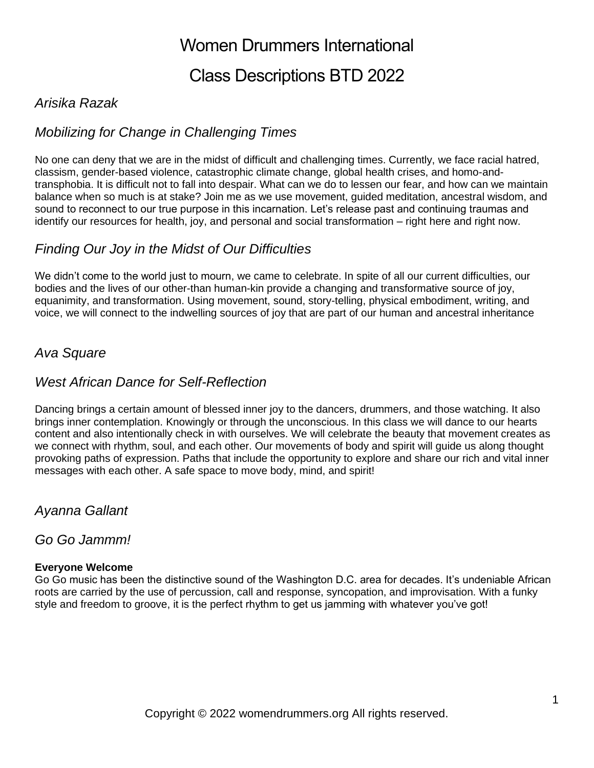# Class Descriptions BTD 2022

## *Arisika Razak*

## *Mobilizing for Change in Challenging Times*

No one can deny that we are in the midst of difficult and challenging times. Currently, we face racial hatred, classism, gender-based violence, catastrophic climate change, global health crises, and homo-andtransphobia. It is difficult not to fall into despair. What can we do to lessen our fear, and how can we maintain balance when so much is at stake? Join me as we use movement, guided meditation, ancestral wisdom, and sound to reconnect to our true purpose in this incarnation. Let's release past and continuing traumas and identify our resources for health, joy, and personal and social transformation – right here and right now.

## *Finding Our Joy in the Midst of Our Difficulties*

We didn't come to the world just to mourn, we came to celebrate. In spite of all our current difficulties, our bodies and the lives of our other-than human-kin provide a changing and transformative source of joy, equanimity, and transformation. Using movement, sound, story-telling, physical embodiment, writing, and voice, we will connect to the indwelling sources of joy that are part of our human and ancestral inheritance

### *Ava Square*

### *West African Dance for Self-Reflection*

Dancing brings a certain amount of blessed inner joy to the dancers, drummers, and those watching. It also brings inner contemplation. Knowingly or through the unconscious. In this class we will dance to our hearts content and also intentionally check in with ourselves. We will celebrate the beauty that movement creates as we connect with rhythm, soul, and each other. Our movements of body and spirit will guide us along thought provoking paths of expression. Paths that include the opportunity to explore and share our rich and vital inner messages with each other. A safe space to move body, mind, and spirit!

### *Ayanna Gallant*

### *Go Go Jammm!*

#### **Everyone Welcome**

Go Go music has been the distinctive sound of the Washington D.C. area for decades. It's undeniable African roots are carried by the use of percussion, call and response, syncopation, and improvisation. With a funky style and freedom to groove, it is the perfect rhythm to get us jamming with whatever you've got!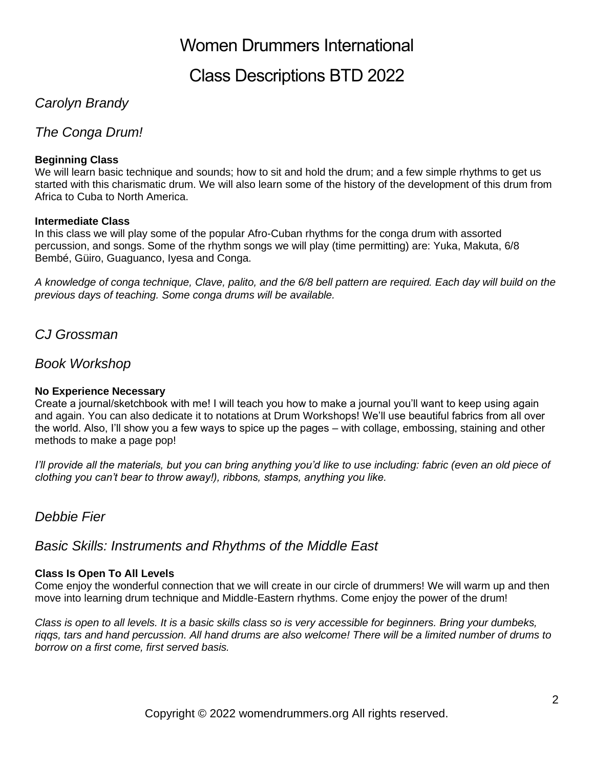## Class Descriptions BTD 2022

## *Carolyn Brandy*

*The Conga Drum!*

#### **Beginning Class**

We will learn basic technique and sounds; how to sit and hold the drum; and a few simple rhythms to get us started with this charismatic drum. We will also learn some of the history of the development of this drum from Africa to Cuba to North America.

#### **Intermediate Class**

In this class we will play some of the popular Afro-Cuban rhythms for the conga drum with assorted percussion, and songs. Some of the rhythm songs we will play (time permitting) are: Yuka, Makuta, 6/8 Bembé, Güiro, Guaguanco, Iyesa and Conga.

*A knowledge of conga technique, Clave, palito, and the 6/8 bell pattern are required. Each day will build on the previous days of teaching. Some conga drums will be available.*

*CJ Grossman*

### *Book Workshop*

#### **No Experience Necessary**

Create a journal/sketchbook with me! I will teach you how to make a journal you'll want to keep using again and again. You can also dedicate it to notations at Drum Workshops! We'll use beautiful fabrics from all over the world. Also, I'll show you a few ways to spice up the pages – with collage, embossing, staining and other methods to make a page pop!

*I'll provide all the materials, but you can bring anything you'd like to use including: fabric (even an old piece of clothing you can't bear to throw away!), ribbons, stamps, anything you like.*

### *Debbie Fier*

*Basic Skills: Instruments and Rhythms of the Middle East*

#### **Class Is Open To All Levels**

Come enjoy the wonderful connection that we will create in our circle of drummers! We will warm up and then move into learning drum technique and Middle-Eastern rhythms. Come enjoy the power of the drum!

*Class is open to all levels. It is a basic skills class so is very accessible for beginners. Bring your dumbeks, riqqs, tars and hand percussion. All hand drums are also welcome! There will be a limited number of drums to borrow on a first come, first served basis.*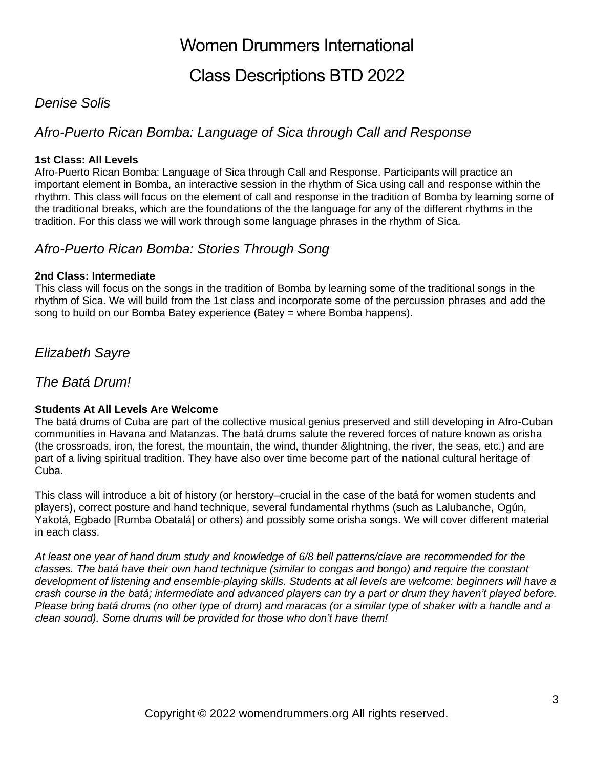## Class Descriptions BTD 2022

### *Denise Solis*

## *Afro-Puerto Rican Bomba: Language of Sica through Call and Response*

#### **1st Class: All Levels**

Afro-Puerto Rican Bomba: Language of Sica through Call and Response. Participants will practice an important element in Bomba, an interactive session in the rhythm of Sica using call and response within the rhythm. This class will focus on the element of call and response in the tradition of Bomba by learning some of the traditional breaks, which are the foundations of the the language for any of the different rhythms in the tradition. For this class we will work through some language phrases in the rhythm of Sica.

### *Afro-Puerto Rican Bomba: Stories Through Song*

#### **2nd Class: Intermediate**

This class will focus on the songs in the tradition of Bomba by learning some of the traditional songs in the rhythm of Sica. We will build from the 1st class and incorporate some of the percussion phrases and add the song to build on our Bomba Batey experience (Batey = where Bomba happens).

### *Elizabeth Sayre*

*The Batá Drum!*

#### **Students At All Levels Are Welcome**

The batá drums of Cuba are part of the collective musical genius preserved and still developing in Afro-Cuban communities in Havana and Matanzas. The batá drums salute the revered forces of nature known as orisha (the crossroads, iron, the forest, the mountain, the wind, thunder &lightning, the river, the seas, etc.) and are part of a living spiritual tradition. They have also over time become part of the national cultural heritage of Cuba.

This class will introduce a bit of history (or herstory–crucial in the case of the batá for women students and players), correct posture and hand technique, several fundamental rhythms (such as Lalubanche, Ogún, Yakotá, Egbado [Rumba Obatalá] or others) and possibly some orisha songs. We will cover different material in each class.

*At least one year of hand drum study and knowledge of 6/8 bell patterns/clave are recommended for the classes. The batá have their own hand technique (similar to congas and bongo) and require the constant development of listening and ensemble-playing skills. Students at all levels are welcome: beginners will have a crash course in the batá; intermediate and advanced players can try a part or drum they haven't played before. Please bring batá drums (no other type of drum) and maracas (or a similar type of shaker with a handle and a clean sound). Some drums will be provided for those who don't have them!*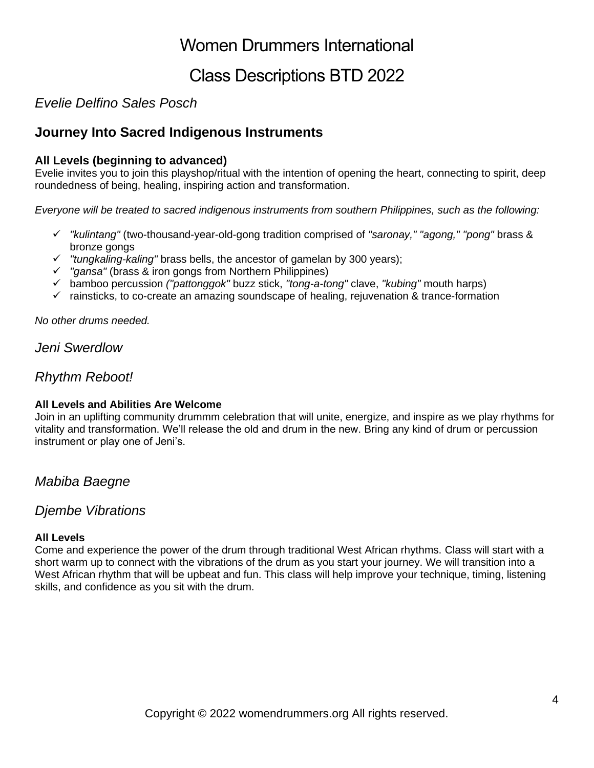# Class Descriptions BTD 2022

## *Evelie Delfino Sales Posch*

## **Journey Into Sacred Indigenous Instruments**

#### **All Levels (beginning to advanced)**

Evelie invites you to join this playshop/ritual with the intention of opening the heart, connecting to spirit, deep roundedness of being, healing, inspiring action and transformation.

*Everyone will be treated to sacred indigenous instruments from southern Philippines, such as the following:*

- ✓ *"kulintang"* (two-thousand-year-old-gong tradition comprised of *"saronay," "agong," "pong"* brass & bronze gongs
- ✓ *"tungkaling-kaling"* brass bells, the ancestor of gamelan by 300 years);
- ✓ *"gansa"* (brass & iron gongs from Northern Philippines)
- ✓ bamboo percussion *("pattonggok"* buzz stick, *"tong-a-tong"* clave, *"kubing"* mouth harps)
- $\checkmark$  rainsticks, to co-create an amazing soundscape of healing, rejuvenation & trance-formation

*No other drums needed.*

*Jeni Swerdlow*

## *Rhythm Reboot!*

#### **All Levels and Abilities Are Welcome**

Join in an uplifting community drummm celebration that will unite, energize, and inspire as we play rhythms for vitality and transformation. We'll release the old and drum in the new. Bring any kind of drum or percussion instrument or play one of Jeni's.

*Mabiba Baegne*

### *Djembe Vibrations*

#### **All Levels**

Come and experience the power of the drum through traditional West African rhythms. Class will start with a short warm up to connect with the vibrations of the drum as you start your journey. We will transition into a West African rhythm that will be upbeat and fun. This class will help improve your technique, timing, listening skills, and confidence as you sit with the drum.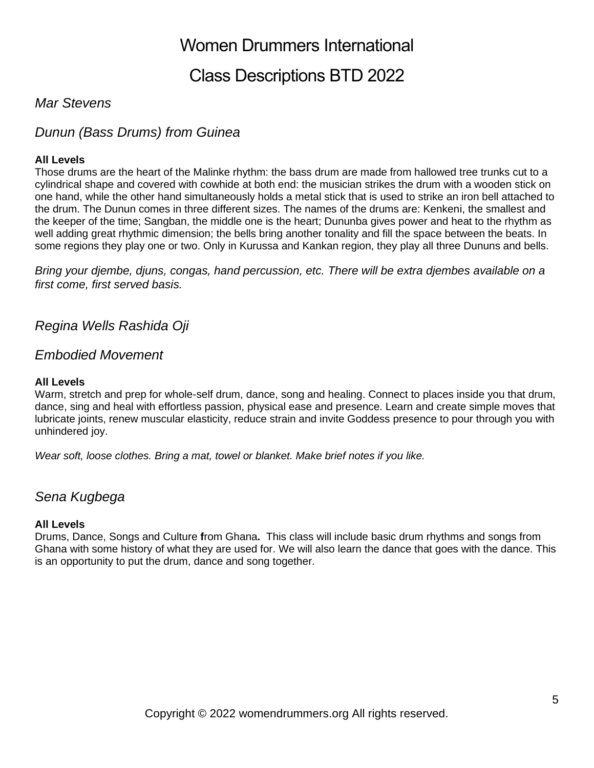# Class Descriptions BTD 2022

### *Mar Stevens*

## *Dunun (Bass Drums) from Guinea*

#### **All Levels**

Those drums are the heart of the Malinke rhythm: the bass drum are made from hallowed tree trunks cut to a cylindrical shape and covered with cowhide at both end: the musician strikes the drum with a wooden stick on one hand, while the other hand simultaneously holds a metal stick that is used to strike an iron bell attached to the drum. The Dunun comes in three different sizes. The names of the drums are: Kenkeni, the smallest and the keeper of the time; Sangban, the middle one is the heart; Dununba gives power and heat to the rhythm as well adding great rhythmic dimension; the bells bring another tonality and fill the space between the beats. In some regions they play one or two. Only in Kurussa and Kankan region, they play all three Dununs and bells.

*Bring your djembe, djuns, congas, hand percussion, etc. There will be extra djembes available on a first come, first served basis.*

*Regina Wells Rashida Oji*

### *Embodied Movement*

#### **All Levels**

Warm, stretch and prep for whole-self drum, dance, song and healing. Connect to places inside you that drum, dance, sing and heal with effortless passion, physical ease and presence. Learn and create simple moves that lubricate joints, renew muscular elasticity, reduce strain and invite Goddess presence to pour through you with unhindered joy.

*Wear soft, loose clothes. Bring a mat, towel or blanket. Make brief notes if you like.*

### *Sena Kugbega*

#### **All Levels**

Drums, Dance, Songs and Culture **f**rom Ghana**.** This class will include basic drum rhythms and songs from Ghana with some history of what they are used for. We will also learn the dance that goes with the dance. This is an opportunity to put the drum, dance and song together.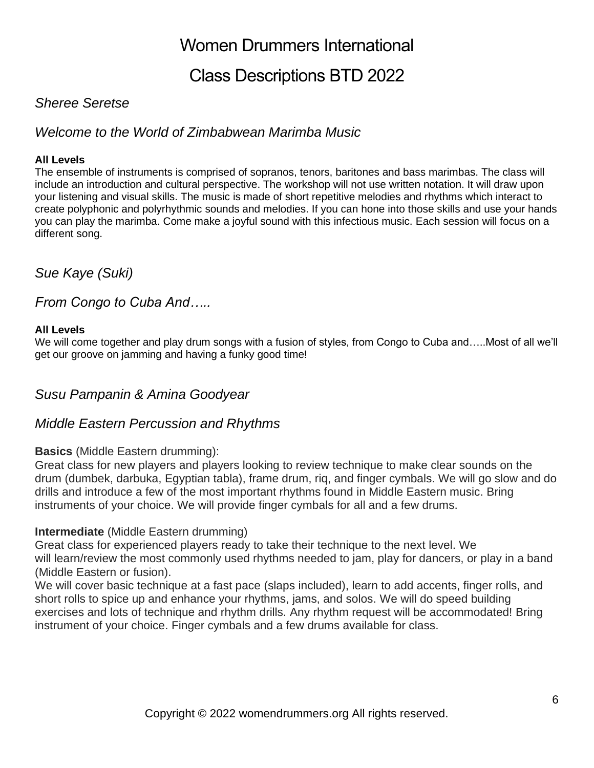# Class Descriptions BTD 2022

## *Sheree Seretse*

## *Welcome to the World of Zimbabwean Marimba Music*

### **All Levels**

The ensemble of instruments is comprised of sopranos, tenors, baritones and bass marimbas. The class will include an introduction and cultural perspective. The workshop will not use written notation. It will draw upon your listening and visual skills. The music is made of short repetitive melodies and rhythms which interact to create polyphonic and polyrhythmic sounds and melodies. If you can hone into those skills and use your hands you can play the marimba. Come make a joyful sound with this infectious music. Each session will focus on a different song.

*Sue Kaye (Suki)*

*From Congo to Cuba And…..*

#### **All Levels**

We will come together and play drum songs with a fusion of styles, from Congo to Cuba and…..Most of all we'll get our groove on jamming and having a funky good time!

## *Susu Pampanin & Amina Goodyear*

## *Middle Eastern Percussion and Rhythms*

### **Basics** (Middle Eastern drumming):

Great class for new players and players looking to review technique to make clear sounds on the drum (dumbek, darbuka, Egyptian tabla), frame drum, riq, and finger cymbals. We will go slow and do drills and introduce a few of the most important rhythms found in Middle Eastern music. Bring instruments of your choice. We will provide finger cymbals for all and a few drums.

### **Intermediate** (Middle Eastern drumming)

Great class for experienced players ready to take their technique to the next level. We will learn/review the most commonly used rhythms needed to jam, play for dancers, or play in a band (Middle Eastern or fusion).

We will cover basic technique at a fast pace (slaps included), learn to add accents, finger rolls, and short rolls to spice up and enhance your rhythms, jams, and solos. We will do speed building exercises and lots of technique and rhythm drills. Any rhythm request will be accommodated! Bring instrument of your choice. Finger cymbals and a few drums available for class.